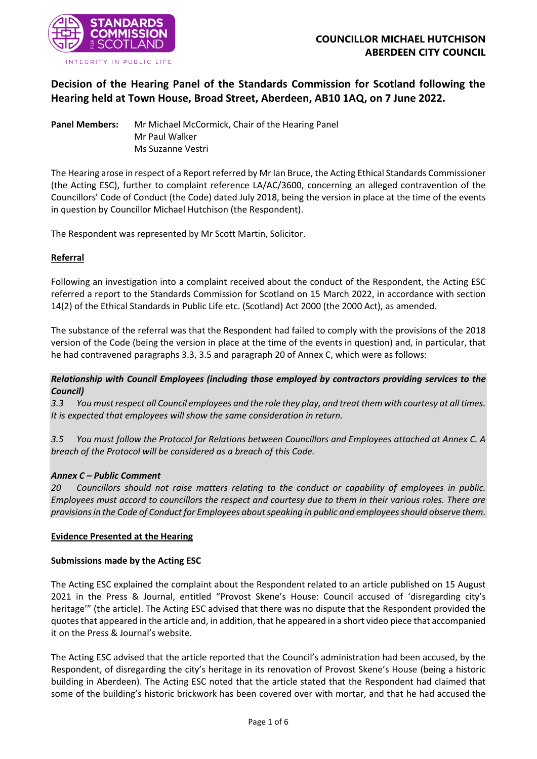

# **Decision of the Hearing Panel of the Standards Commission for Scotland following the Hearing held at Town House, Broad Street, Aberdeen, AB10 1AQ, on 7 June 2022.**

**Panel Members:** Mr Michael McCormick, Chair of the Hearing Panel Mr Paul Walker Ms Suzanne Vestri

The Hearing arose in respect of a Report referred by Mr Ian Bruce, the Acting Ethical Standards Commissioner (the Acting ESC), further to complaint reference LA/AC/3600, concerning an alleged contravention of the Councillors' Code of Conduct (the Code) dated July 2018, being the version in place at the time of the events in question by Councillor Michael Hutchison (the Respondent).

The Respondent was represented by Mr Scott Martin, Solicitor.

### **Referral**

Following an investigation into a complaint received about the conduct of the Respondent, the Acting ESC referred a report to the Standards Commission for Scotland on 15 March 2022, in accordance with section 14(2) of the Ethical Standards in Public Life etc. (Scotland) Act 2000 (the 2000 Act), as amended.

The substance of the referral was that the Respondent had failed to comply with the provisions of the 2018 version of the Code (being the version in place at the time of the events in question) and, in particular, that he had contravened paragraphs 3.3, 3.5 and paragraph 20 of Annex C, which were as follows:

### *Relationship with Council Employees (including those employed by contractors providing services to the Council)*

*3.3 You must respect all Council employees and the role they play, and treat them with courtesy at all times. It is expected that employees will show the same consideration in return.*

*3.5 You must follow the Protocol for Relations between Councillors and Employees attached at Annex C. A breach of the Protocol will be considered as a breach of this Code.*

#### *Annex C – Public Comment*

*20 Councillors should not raise matters relating to the conduct or capability of employees in public. Employees must accord to councillors the respect and courtesy due to them in their various roles. There are provisions in the Code of Conduct for Employees about speaking in public and employees should observe them.*

#### **Evidence Presented at the Hearing**

#### **Submissions made by the Acting ESC**

The Acting ESC explained the complaint about the Respondent related to an article published on 15 August 2021 in the Press & Journal, entitled "Provost Skene's House: Council accused of 'disregarding city's heritage'" (the article). The Acting ESC advised that there was no dispute that the Respondent provided the quotes that appeared in the article and, in addition, that he appeared in a short video piece that accompanied it on the Press & Journal's website.

The Acting ESC advised that the article reported that the Council's administration had been accused, by the Respondent, of disregarding the city's heritage in its renovation of Provost Skene's House (being a historic building in Aberdeen). The Acting ESC noted that the article stated that the Respondent had claimed that some of the building's historic brickwork has been covered over with mortar, and that he had accused the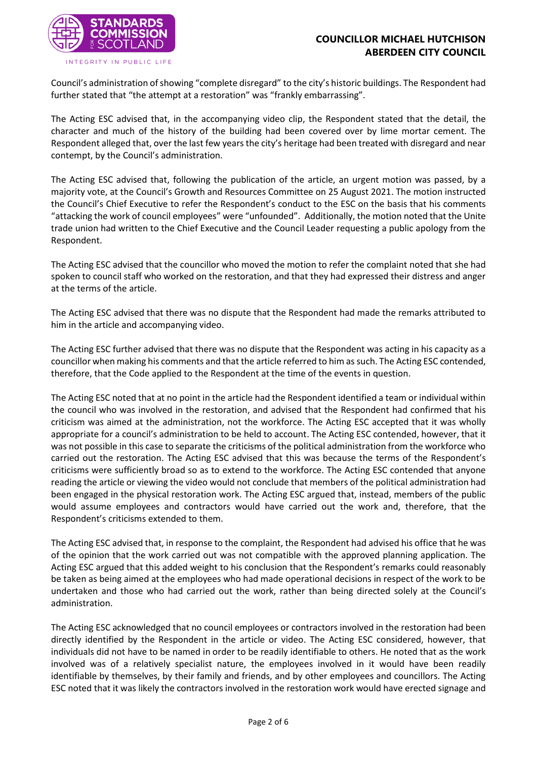

Council's administration of showing "complete disregard" to the city's historic buildings. The Respondent had further stated that "the attempt at a restoration" was "frankly embarrassing".

The Acting ESC advised that, in the accompanying video clip, the Respondent stated that the detail, the character and much of the history of the building had been covered over by lime mortar cement. The Respondent alleged that, over the last few years the city's heritage had been treated with disregard and near contempt, by the Council's administration.

The Acting ESC advised that, following the publication of the article, an urgent motion was passed, by a majority vote, at the Council's Growth and Resources Committee on 25 August 2021. The motion instructed the Council's Chief Executive to refer the Respondent's conduct to the ESC on the basis that his comments "attacking the work of council employees" were "unfounded". Additionally, the motion noted that the Unite trade union had written to the Chief Executive and the Council Leader requesting a public apology from the Respondent.

The Acting ESC advised that the councillor who moved the motion to refer the complaint noted that she had spoken to council staff who worked on the restoration, and that they had expressed their distress and anger at the terms of the article.

The Acting ESC advised that there was no dispute that the Respondent had made the remarks attributed to him in the article and accompanying video.

The Acting ESC further advised that there was no dispute that the Respondent was acting in his capacity as a councillor when making his comments and that the article referred to him as such. The Acting ESC contended, therefore, that the Code applied to the Respondent at the time of the events in question.

The Acting ESC noted that at no point in the article had the Respondent identified a team or individual within the council who was involved in the restoration, and advised that the Respondent had confirmed that his criticism was aimed at the administration, not the workforce. The Acting ESC accepted that it was wholly appropriate for a council's administration to be held to account. The Acting ESC contended, however, that it was not possible in this case to separate the criticisms of the political administration from the workforce who carried out the restoration. The Acting ESC advised that this was because the terms of the Respondent's criticisms were sufficiently broad so as to extend to the workforce. The Acting ESC contended that anyone reading the article or viewing the video would not conclude that members of the political administration had been engaged in the physical restoration work. The Acting ESC argued that, instead, members of the public would assume employees and contractors would have carried out the work and, therefore, that the Respondent's criticisms extended to them.

The Acting ESC advised that, in response to the complaint, the Respondent had advised his office that he was of the opinion that the work carried out was not compatible with the approved planning application. The Acting ESC argued that this added weight to his conclusion that the Respondent's remarks could reasonably be taken as being aimed at the employees who had made operational decisions in respect of the work to be undertaken and those who had carried out the work, rather than being directed solely at the Council's administration.

The Acting ESC acknowledged that no council employees or contractors involved in the restoration had been directly identified by the Respondent in the article or video. The Acting ESC considered, however, that individuals did not have to be named in order to be readily identifiable to others. He noted that as the work involved was of a relatively specialist nature, the employees involved in it would have been readily identifiable by themselves, by their family and friends, and by other employees and councillors. The Acting ESC noted that it was likely the contractors involved in the restoration work would have erected signage and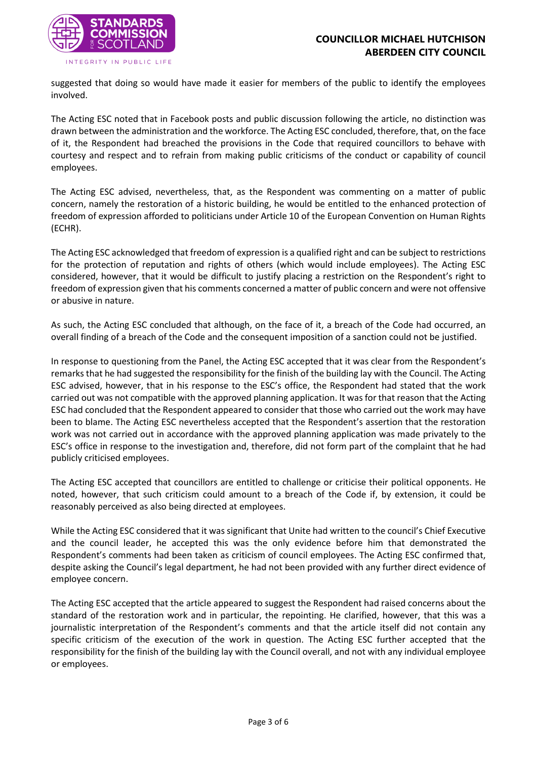

suggested that doing so would have made it easier for members of the public to identify the employees involved.

The Acting ESC noted that in Facebook posts and public discussion following the article, no distinction was drawn between the administration and the workforce. The Acting ESC concluded, therefore, that, on the face of it, the Respondent had breached the provisions in the Code that required councillors to behave with courtesy and respect and to refrain from making public criticisms of the conduct or capability of council employees.

The Acting ESC advised, nevertheless, that, as the Respondent was commenting on a matter of public concern, namely the restoration of a historic building, he would be entitled to the enhanced protection of freedom of expression afforded to politicians under Article 10 of the European Convention on Human Rights (ECHR).

The Acting ESC acknowledged that freedom of expression is a qualified right and can be subject to restrictions for the protection of reputation and rights of others (which would include employees). The Acting ESC considered, however, that it would be difficult to justify placing a restriction on the Respondent's right to freedom of expression given that his comments concerned a matter of public concern and were not offensive or abusive in nature.

As such, the Acting ESC concluded that although, on the face of it, a breach of the Code had occurred, an overall finding of a breach of the Code and the consequent imposition of a sanction could not be justified.

In response to questioning from the Panel, the Acting ESC accepted that it was clear from the Respondent's remarks that he had suggested the responsibility for the finish of the building lay with the Council. The Acting ESC advised, however, that in his response to the ESC's office, the Respondent had stated that the work carried out was not compatible with the approved planning application. It was for that reason that the Acting ESC had concluded that the Respondent appeared to consider that those who carried out the work may have been to blame. The Acting ESC nevertheless accepted that the Respondent's assertion that the restoration work was not carried out in accordance with the approved planning application was made privately to the ESC's office in response to the investigation and, therefore, did not form part of the complaint that he had publicly criticised employees.

The Acting ESC accepted that councillors are entitled to challenge or criticise their political opponents. He noted, however, that such criticism could amount to a breach of the Code if, by extension, it could be reasonably perceived as also being directed at employees.

While the Acting ESC considered that it was significant that Unite had written to the council's Chief Executive and the council leader, he accepted this was the only evidence before him that demonstrated the Respondent's comments had been taken as criticism of council employees. The Acting ESC confirmed that, despite asking the Council's legal department, he had not been provided with any further direct evidence of employee concern.

The Acting ESC accepted that the article appeared to suggest the Respondent had raised concerns about the standard of the restoration work and in particular, the repointing. He clarified, however, that this was a journalistic interpretation of the Respondent's comments and that the article itself did not contain any specific criticism of the execution of the work in question. The Acting ESC further accepted that the responsibility for the finish of the building lay with the Council overall, and not with any individual employee or employees.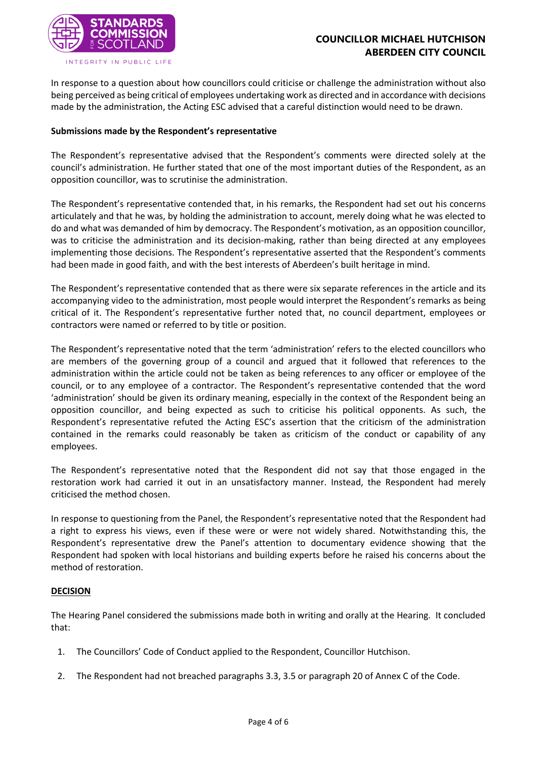

In response to a question about how councillors could criticise or challenge the administration without also being perceived as being critical of employees undertaking work as directed and in accordance with decisions made by the administration, the Acting ESC advised that a careful distinction would need to be drawn.

#### **Submissions made by the Respondent's representative**

The Respondent's representative advised that the Respondent's comments were directed solely at the council's administration. He further stated that one of the most important duties of the Respondent, as an opposition councillor, was to scrutinise the administration.

The Respondent's representative contended that, in his remarks, the Respondent had set out his concerns articulately and that he was, by holding the administration to account, merely doing what he was elected to do and what was demanded of him by democracy. The Respondent's motivation, as an opposition councillor, was to criticise the administration and its decision-making, rather than being directed at any employees implementing those decisions. The Respondent's representative asserted that the Respondent's comments had been made in good faith, and with the best interests of Aberdeen's built heritage in mind.

The Respondent's representative contended that as there were six separate references in the article and its accompanying video to the administration, most people would interpret the Respondent's remarks as being critical of it. The Respondent's representative further noted that, no council department, employees or contractors were named or referred to by title or position.

The Respondent's representative noted that the term 'administration' refers to the elected councillors who are members of the governing group of a council and argued that it followed that references to the administration within the article could not be taken as being references to any officer or employee of the council, or to any employee of a contractor. The Respondent's representative contended that the word 'administration' should be given its ordinary meaning, especially in the context of the Respondent being an opposition councillor, and being expected as such to criticise his political opponents. As such, the Respondent's representative refuted the Acting ESC's assertion that the criticism of the administration contained in the remarks could reasonably be taken as criticism of the conduct or capability of any employees.

The Respondent's representative noted that the Respondent did not say that those engaged in the restoration work had carried it out in an unsatisfactory manner. Instead, the Respondent had merely criticised the method chosen.

In response to questioning from the Panel, the Respondent's representative noted that the Respondent had a right to express his views, even if these were or were not widely shared. Notwithstanding this, the Respondent's representative drew the Panel's attention to documentary evidence showing that the Respondent had spoken with local historians and building experts before he raised his concerns about the method of restoration.

#### **DECISION**

The Hearing Panel considered the submissions made both in writing and orally at the Hearing. It concluded that:

- 1. The Councillors' Code of Conduct applied to the Respondent, Councillor Hutchison.
- 2. The Respondent had not breached paragraphs 3.3, 3.5 or paragraph 20 of Annex C of the Code.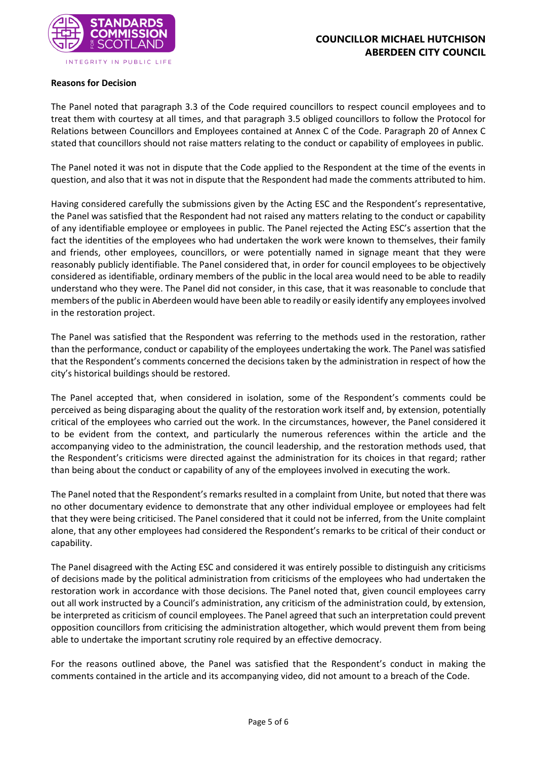

#### **Reasons for Decision**

The Panel noted that paragraph 3.3 of the Code required councillors to respect council employees and to treat them with courtesy at all times, and that paragraph 3.5 obliged councillors to follow the Protocol for Relations between Councillors and Employees contained at Annex C of the Code. Paragraph 20 of Annex C stated that councillors should not raise matters relating to the conduct or capability of employees in public.

The Panel noted it was not in dispute that the Code applied to the Respondent at the time of the events in question, and also that it was not in dispute that the Respondent had made the comments attributed to him.

Having considered carefully the submissions given by the Acting ESC and the Respondent's representative, the Panel was satisfied that the Respondent had not raised any matters relating to the conduct or capability of any identifiable employee or employees in public. The Panel rejected the Acting ESC's assertion that the fact the identities of the employees who had undertaken the work were known to themselves, their family and friends, other employees, councillors, or were potentially named in signage meant that they were reasonably publicly identifiable. The Panel considered that, in order for council employees to be objectively considered as identifiable, ordinary members of the public in the local area would need to be able to readily understand who they were. The Panel did not consider, in this case, that it was reasonable to conclude that members of the public in Aberdeen would have been able to readily or easily identify any employees involved in the restoration project.

The Panel was satisfied that the Respondent was referring to the methods used in the restoration, rather than the performance, conduct or capability of the employees undertaking the work. The Panel was satisfied that the Respondent's comments concerned the decisions taken by the administration in respect of how the city's historical buildings should be restored.

The Panel accepted that, when considered in isolation, some of the Respondent's comments could be perceived as being disparaging about the quality of the restoration work itself and, by extension, potentially critical of the employees who carried out the work. In the circumstances, however, the Panel considered it to be evident from the context, and particularly the numerous references within the article and the accompanying video to the administration, the council leadership, and the restoration methods used, that the Respondent's criticisms were directed against the administration for its choices in that regard; rather than being about the conduct or capability of any of the employees involved in executing the work.

The Panel noted that the Respondent's remarks resulted in a complaint from Unite, but noted that there was no other documentary evidence to demonstrate that any other individual employee or employees had felt that they were being criticised. The Panel considered that it could not be inferred, from the Unite complaint alone, that any other employees had considered the Respondent's remarks to be critical of their conduct or capability.

The Panel disagreed with the Acting ESC and considered it was entirely possible to distinguish any criticisms of decisions made by the political administration from criticisms of the employees who had undertaken the restoration work in accordance with those decisions. The Panel noted that, given council employees carry out all work instructed by a Council's administration, any criticism of the administration could, by extension, be interpreted as criticism of council employees. The Panel agreed that such an interpretation could prevent opposition councillors from criticising the administration altogether, which would prevent them from being able to undertake the important scrutiny role required by an effective democracy.

For the reasons outlined above, the Panel was satisfied that the Respondent's conduct in making the comments contained in the article and its accompanying video, did not amount to a breach of the Code.